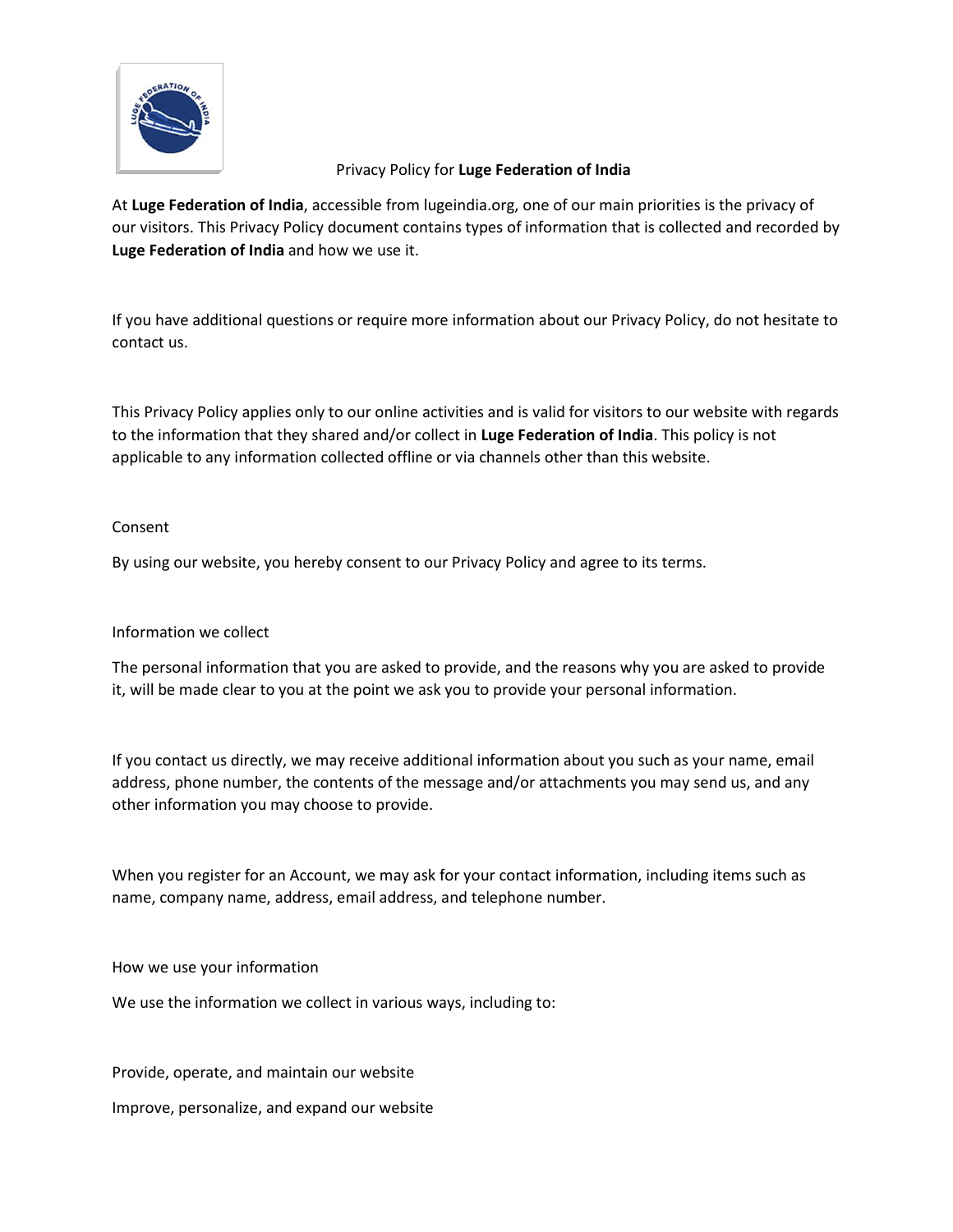

At **Luge Federation of India**, accessible from lugeindia.org, one of our main priorities is the privacy of our visitors. This Privacy Policy document contains types of information that is collected and recorded by **Luge Federation of India** and how we use it.

If you have additional questions or require more information about our Privacy Policy, do not hesitate to contact us.

This Privacy Policy applies only to our online activities and is valid for visitors to our website with regards to the information that they shared and/or collect in **Luge Federation of India**. This policy is not applicable to any information collected offline or via channels other than this website.

### Consent

By using our website, you hereby consent to our Privacy Policy and agree to its terms.

# Information we collect

The personal information that you are asked to provide, and the reasons why you are asked to provide it, will be made clear to you at the point we ask you to provide your personal information.

If you contact us directly, we may receive additional information about you such as your name, email address, phone number, the contents of the message and/or attachments you may send us, and any other information you may choose to provide.

When you register for an Account, we may ask for your contact information, including items such as name, company name, address, email address, and telephone number.

How we use your information

We use the information we collect in various ways, including to:

Provide, operate, and maintain our website

Improve, personalize, and expand our website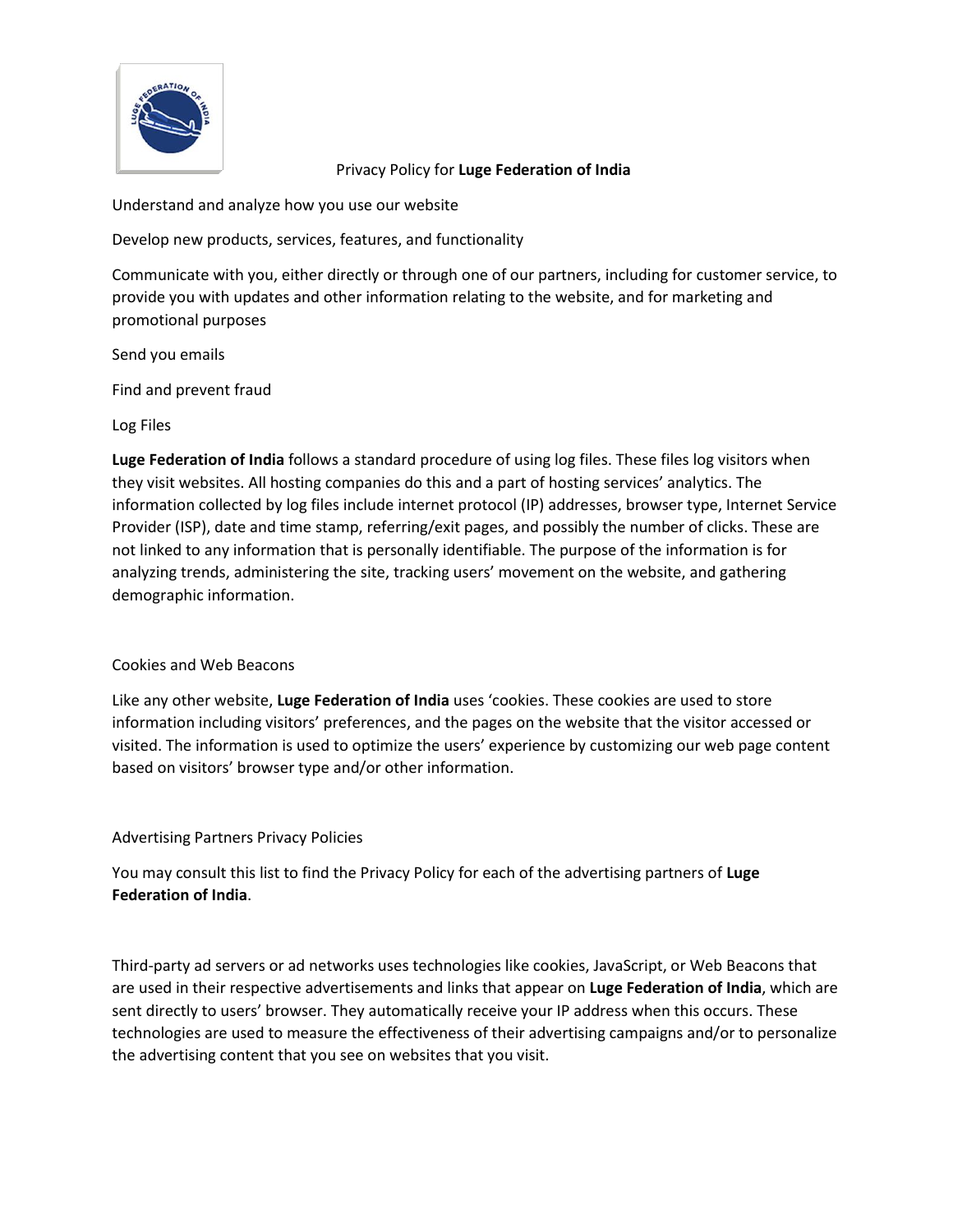

Understand and analyze how you use our website

Develop new products, services, features, and functionality

Communicate with you, either directly or through one of our partners, including for customer service, to provide you with updates and other information relating to the website, and for marketing and promotional purposes

#### Send you emails

Find and prevent fraud

### Log Files

**Luge Federation of India** follows a standard procedure of using log files. These files log visitors when they visit websites. All hosting companies do this and a part of hosting services' analytics. The information collected by log files include internet protocol (IP) addresses, browser type, Internet Service Provider (ISP), date and time stamp, referring/exit pages, and possibly the number of clicks. These are not linked to any information that is personally identifiable. The purpose of the information is for analyzing trends, administering the site, tracking users' movement on the website, and gathering demographic information.

#### Cookies and Web Beacons

Like any other website, **Luge Federation of India** uses 'cookies. These cookies are used to store information including visitors' preferences, and the pages on the website that the visitor accessed or visited. The information is used to optimize the users' experience by customizing our web page content based on visitors' browser type and/or other information.

# Advertising Partners Privacy Policies

You may consult this list to find the Privacy Policy for each of the advertising partners of **Luge Federation of India**.

Third-party ad servers or ad networks uses technologies like cookies, JavaScript, or Web Beacons that are used in their respective advertisements and links that appear on **Luge Federation of India**, which are sent directly to users' browser. They automatically receive your IP address when this occurs. These technologies are used to measure the effectiveness of their advertising campaigns and/or to personalize the advertising content that you see on websites that you visit.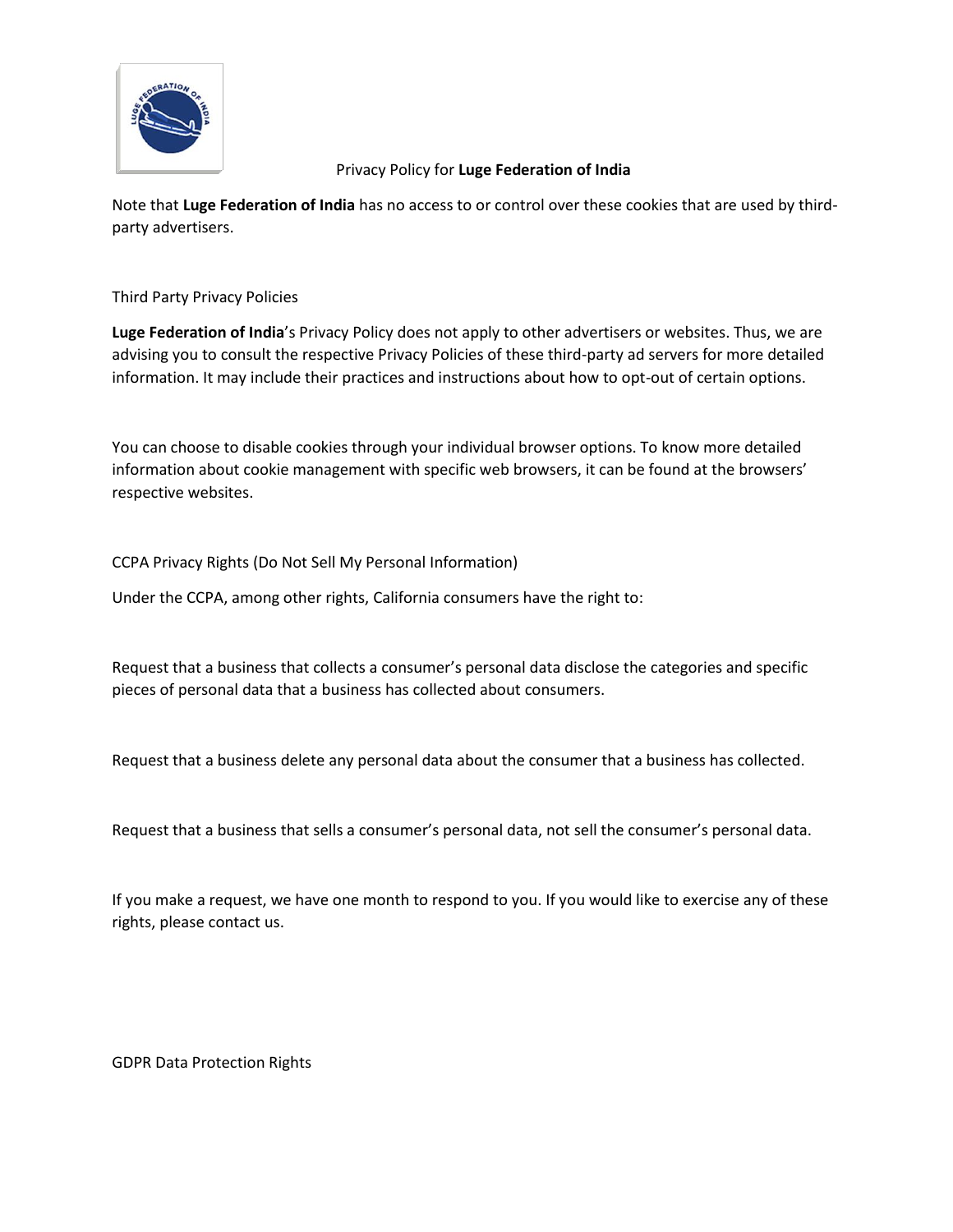

Note that **Luge Federation of India** has no access to or control over these cookies that are used by thirdparty advertisers.

Third Party Privacy Policies

**Luge Federation of India**'s Privacy Policy does not apply to other advertisers or websites. Thus, we are advising you to consult the respective Privacy Policies of these third-party ad servers for more detailed information. It may include their practices and instructions about how to opt-out of certain options.

You can choose to disable cookies through your individual browser options. To know more detailed information about cookie management with specific web browsers, it can be found at the browsers' respective websites.

CCPA Privacy Rights (Do Not Sell My Personal Information)

Under the CCPA, among other rights, California consumers have the right to:

Request that a business that collects a consumer's personal data disclose the categories and specific pieces of personal data that a business has collected about consumers.

Request that a business delete any personal data about the consumer that a business has collected.

Request that a business that sells a consumer's personal data, not sell the consumer's personal data.

If you make a request, we have one month to respond to you. If you would like to exercise any of these rights, please contact us.

GDPR Data Protection Rights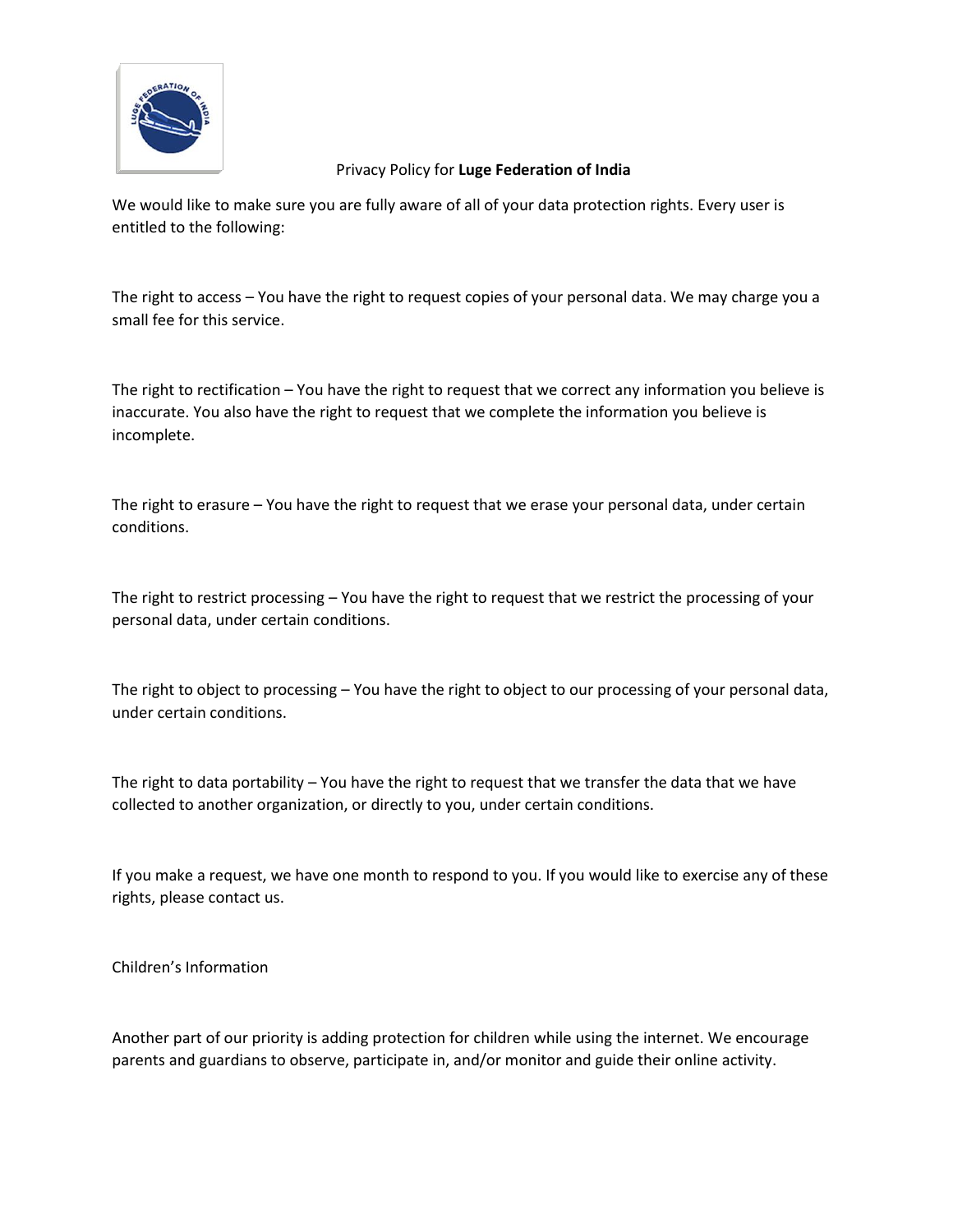

We would like to make sure you are fully aware of all of your data protection rights. Every user is entitled to the following:

The right to access – You have the right to request copies of your personal data. We may charge you a small fee for this service.

The right to rectification – You have the right to request that we correct any information you believe is inaccurate. You also have the right to request that we complete the information you believe is incomplete.

The right to erasure – You have the right to request that we erase your personal data, under certain conditions.

The right to restrict processing – You have the right to request that we restrict the processing of your personal data, under certain conditions.

The right to object to processing – You have the right to object to our processing of your personal data, under certain conditions.

The right to data portability – You have the right to request that we transfer the data that we have collected to another organization, or directly to you, under certain conditions.

If you make a request, we have one month to respond to you. If you would like to exercise any of these rights, please contact us.

Children's Information

Another part of our priority is adding protection for children while using the internet. We encourage parents and guardians to observe, participate in, and/or monitor and guide their online activity.